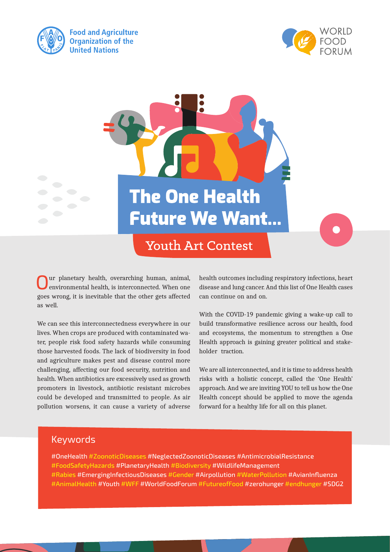



**The One Health Future We Want...** 

**Youth Art Contest** 

ur planetary health, overarching human, animal, environmental health, is interconnected. When one goes wrong, it is inevitable that the other gets affected as well.

We can see this interconnectedness everywhere in our lives. When crops are produced with contaminated water, people risk food safety hazards while consuming those harvested foods. The lack of biodiversity in food and agriculture makes pest and disease control more challenging, affecting our food security, nutrition and health. When antibiotics are excessively used as growth promoters in livestock, antibiotic resistant microbes could be developed and transmitted to people. As air pollution worsens, it can cause a variety of adverse

health outcomes including respiratory infections, heart disease and lung cancer. And this list of One Health cases can continue on and on.

With the COVID-19 pandemic giving a wake-up call to build transformative resilience across our health, food and ecosystems, the momentum to strengthen a One Health approach is gaining greater political and stakeholder traction.

We are all interconnected, and it is time to address health risks with a holistic concept, called the 'One Health' approach. And we are inviting YOU to tell us how the One Health concept should be applied to move the agenda forward for a healthy life for all on this planet.

### Keywords

#OneHealth #ZoonoticDiseases #NeglectedZoonoticDiseases #AntimicrobialResistance #FoodSafetyHazards #PlanetaryHealth #Biodiversity #WildlifeManagement #Rabies #EmergingInfectiousDiseases #Gender #Airpollution #WaterPollution #AvianInfluenza #AnimalHealth #Youth #WFF #WorldFoodForum #FutureofFood #zerohunger #endhunger #SDG2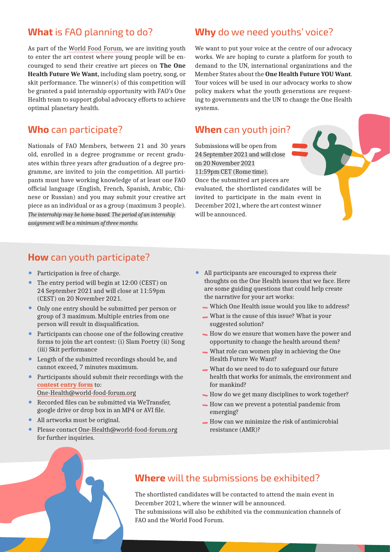## **What** is FAO planning to do?

As part of the World Food Forum, we are inviting youth to enter the art contest where young people will be encouraged to send their creative art pieces on **The One Health Future We Want,** including slam poetry, song, or skit performance. The winner(s) of this competition will be granted a paid internship opportunity with FAO's One Health team to support global advocacy efforts to achieve optimal planetary health.

### **Who** can participate?

Nationals of FAO Members, between 21 and 30 years old, enrolled in a degree programme or recent graduates within three years after graduation of a degree programme, are invited to join the competition. All participants must have working knowledge of at least one FAO official language (English, French, Spanish, Arabic, Chinese or Russian) and you may submit your creative art piece as an individual or as a group (maximum 3 people). *The internship may be home-based. The period of an internship assignment will be a minimum of three months.*

### **Why** do we need youths' voice?

We want to put your voice at the centre of our advocacy works. We are hoping to curate a platform for youth to demand to the UN, international organizations and the Member States about the **One Health Future YOU Want**. Your voices will be used in our advocacy works to show policy makers what the youth generations are requesting to governments and the UN to change the One Health systems.

### **When** can youth join?

Submissions will be open from 24 September 2021 and will close on 20 November 2021 11:59pm CET (Rome time). Once the submitted art pieces are evaluated, the shortlisted candidates will be invited to participate in the main event in December 2021, where the art contest winner will be announced.

# **How** can youth participate?

- **•** Participation is free of charge.
- **•** The entry period will begin at 12:00 (CEST) on 24 September 2021 and will close at 11:59pm (CEST) on 20 November 2021.
- **•** Only one entry should be submitted per person or group of 3 maximum. Multiple entries from one person will result in disqualification.
- **•** Participants can choose one of the following creative forms to join the art contest: (i) Slam Poetry (ii) Song (iii) Skit performance
- **•** Length of the submitted recordings should be, and cannot exceed, 7 minutes maximum.
- **•** Participants should submit their recordings with the **[contest entry form](http://www.fao.org/3/cb6121en/cb6121en.pdf)** to: [One-Health@world-food-forum.org](mailto:One-Health%40world-food-forum.org?subject=)
- **•** Recorded files can be submitted via WeTransfer, google drive or drop box in an MP4 or AVI file.
- **•** All artworks must be original.
- **•** Please contact [One-Health@world-food-forum.org](mailto:One-Health%40world-food-forum.org?subject=) for further inquiries.
- **•** All participants are encouraged to express their thoughts on the One Health issues that we face. Here are some guiding questions that could help create the narrative for your art works:
	- Which One Health issue would you like to address?
	- What is the cause of this issue? What is your suggested solution?
	- How do we ensure that women have the power and opportunity to change the health around them?
	- What role can women play in achieving the One Health Future We Want?
	- What do we need to do to safeguard our future health that works for animals, the environment and for mankind?
	- How do we get many disciplines to work together?
	- How can we prevent a potential pandemic from emerging?
	- How can we minimize the risk of antimicrobial resistance (AMR)?



## **Where** will the submissions be exhibited?

The shortlisted candidates will be contacted to attend the main event in December 2021, where the winner will be announced. The submissions will also be exhibited via the communication channels of FAO and the World Food Forum.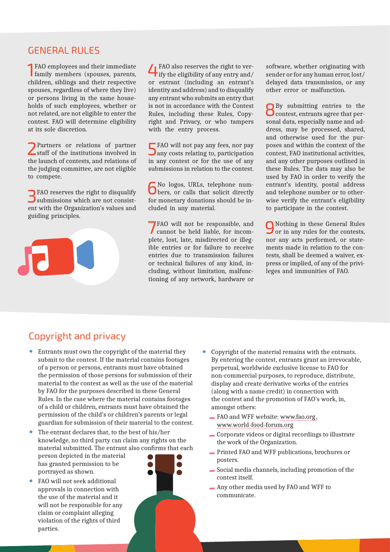#### GENERAL RULES

1 FAO employees and their immediate family members (spouses, parents, children, siblings and their respective spouses, regardless of where they live) or persons living in the same households of such employees, whether or not related, are not eligible to enter the contest. FAO will determine eligibility at its sole discretion.

2Partners or relations of partner staff of the institutions involved in the launch of contests, and relations of the judging committee, are not eligible to compete.

3 FAO reserves the right to disqualify submissions which are not consistent with the Organization's values and guiding principles.

4 FAO also reserves the right to ver- $\mathsf{T}$  ify the eligibility of any entry and/ or entrant (including an entrant's identity and address) and to disqualify any entrant who submits an entry that is not in accordance with the Contest Rules, including these Rules, Copyright and Privacy, or who tampers with the entry process.

FAO will not pay any fees, nor pay **J** any costs relating to, participation in any contest or for the use of any submissions in relation to the contest.

6No logos, URLs, telephone num-bers, or calls that solicit directly for monetary donations should be included in any material.

7FAO will not be responsible, and cannot be held liable, for incomplete, lost, late, misdirected or illegible entries or for failure to receive entries due to transmission failures or technical failures of any kind, including, without limitation, malfunctioning of any network, hardware or

software, whether originating with sender or for any human error, lost/ delayed data transmission, or any other error or malfunction.

8By submitting entries to the contest, entrants agree that personal data, especially name and address, may be processed, shared, and otherwise used for the purposes and within the context of the contest, FAO institutional activities, and any other purposes outlined in these Rules. The data may also be used by FAO in order to verify the entrant's identity, postal address and telephone number or to otherwise verify the entrant's eligibility to participate in the contest.

9 Nothing in these General Rules or in any rules for the contests, nor any acts performed, or statements made in relation to the contests, shall be deemed a waiver, express or implied, of any of the privileges and immunities of FAO.

# Copyright and privacy

- **•** Entrants must own the copyright of the material they submit to the contest. If the material contains footages of a person or persons, entrants must have obtained the permission of those persons for submission of their material to the contest as well as the use of the material by FAO for the purposes described in these General Rules. In the case where the material contains footages of a child or children, entrants must have obtained the permission of the child's or children's parents or legal guardian for submission of their material to the contest.
- **•** The entrant declares that, to the best of his/her knowledge, no third party can claim any rights on the material submitted. The entrant also confirms that each person depicted in the material has granted permission to be portrayed as shown.
- **•** FAO will not seek additional approvals in connection with the use of the material and it will not be responsible for any claim or complaint alleging violation of the rights of third parties.



- **•** Copyright of the material remains with the entrants. By entering the contest, entrants grant an irrevocable, perpetual, worldwide exclusive license to FAO for non-commercial purposes, to reproduce, distribute, display and create derivative works of the entries (along with a name credit) in connection with the contest and the promotion of FAO's work, in, amongst others:
	- FAO and WFF website: [www.fao.org](http://www.fao.org), [www.world-food-forum.org](http://www.world-food-forum.org/)
	- Corporate videos or digital recordings to illustrate the work of the Organization.
	- Printed FAO and WFF publications, brochures or posters.
	- Social media channels, including promotion of the contest itself.
	- Any other media used by FAO and WFF to communicate.